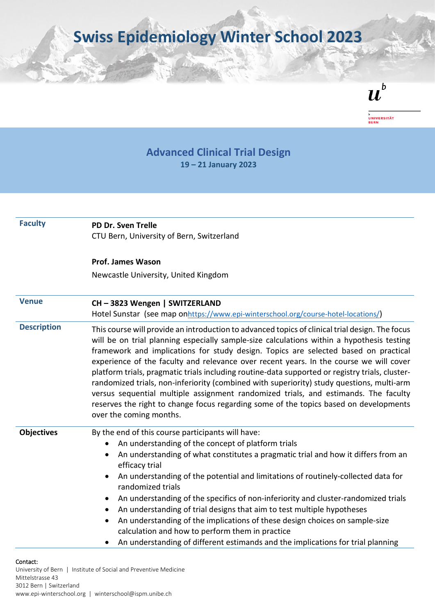**Swiss Epidemiology Winter School 2023**

 $\boldsymbol{u}^{\textit{b}}$ 



## **Advanced Clinical Trial Design 19 – 21 January 2023**

| <b>Faculty</b>     | PD Dr. Sven Trelle                                                                                                                                                                                                                                                                                                                                                                                                                                                                                                                                                                                                                                                                                                                                                                       |
|--------------------|------------------------------------------------------------------------------------------------------------------------------------------------------------------------------------------------------------------------------------------------------------------------------------------------------------------------------------------------------------------------------------------------------------------------------------------------------------------------------------------------------------------------------------------------------------------------------------------------------------------------------------------------------------------------------------------------------------------------------------------------------------------------------------------|
|                    | CTU Bern, University of Bern, Switzerland                                                                                                                                                                                                                                                                                                                                                                                                                                                                                                                                                                                                                                                                                                                                                |
|                    | <b>Prof. James Wason</b>                                                                                                                                                                                                                                                                                                                                                                                                                                                                                                                                                                                                                                                                                                                                                                 |
|                    | Newcastle University, United Kingdom                                                                                                                                                                                                                                                                                                                                                                                                                                                                                                                                                                                                                                                                                                                                                     |
| <b>Venue</b>       | CH-3823 Wengen   SWITZERLAND                                                                                                                                                                                                                                                                                                                                                                                                                                                                                                                                                                                                                                                                                                                                                             |
|                    | Hotel Sunstar (see map onhttps://www.epi-winterschool.org/course-hotel-locations/)                                                                                                                                                                                                                                                                                                                                                                                                                                                                                                                                                                                                                                                                                                       |
| <b>Description</b> | This course will provide an introduction to advanced topics of clinical trial design. The focus<br>will be on trial planning especially sample-size calculations within a hypothesis testing<br>framework and implications for study design. Topics are selected based on practical<br>experience of the faculty and relevance over recent years. In the course we will cover<br>platform trials, pragmatic trials including routine-data supported or registry trials, cluster-<br>randomized trials, non-inferiority (combined with superiority) study questions, multi-arm<br>versus sequential multiple assignment randomized trials, and estimands. The faculty<br>reserves the right to change focus regarding some of the topics based on developments<br>over the coming months. |
| <b>Objectives</b>  | By the end of this course participants will have:<br>An understanding of the concept of platform trials<br>An understanding of what constitutes a pragmatic trial and how it differs from an<br>$\bullet$<br>efficacy trial<br>An understanding of the potential and limitations of routinely-collected data for<br>randomized trials<br>An understanding of the specifics of non-inferiority and cluster-randomized trials<br>An understanding of trial designs that aim to test multiple hypotheses<br>An understanding of the implications of these design choices on sample-size<br>$\bullet$<br>calculation and how to perform them in practice<br>An understanding of different estimands and the implications for trial planning<br>$\bullet$                                     |

## Contact:

University of Bern | Institute of Social and Preventive Medicine Mittelstrasse 43 3012 Bern | Switzerland www.epi-winterschool.org | winterschool@ispm.unibe.ch